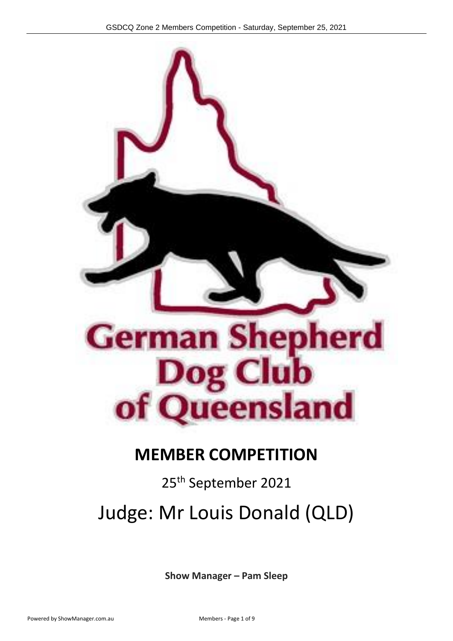

## **MEMBER COMPETITION**

## 25<sup>th</sup> September 2021

# Judge: Mr Louis Donald (QLD)

**Show Manager – Pam Sleep**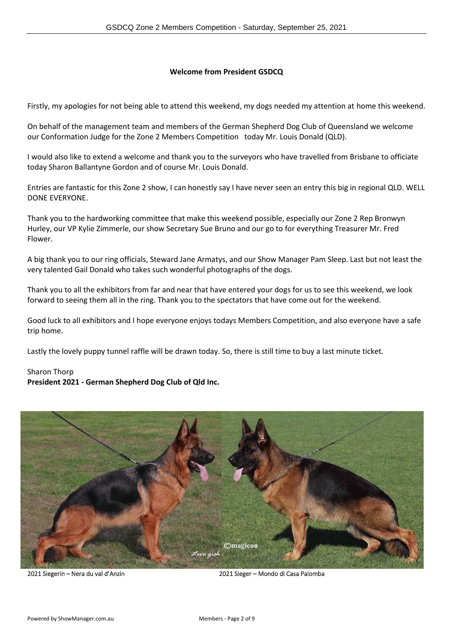#### **Welcome from President GSDCQ**

Firstly, my apologies for not being able to attend this weekend, my dogs needed my attention at home this weekend.

On behalf of the management team and members of the German Shepherd Dog Club of Queensland we welcome our Conformation Judge for the Zone 2 Members Competition today Mr. Louis Donald (QLD).

I would also like to extend a welcome and thank you to the surveyors who have travelled from Brisbane to officiate today Sharon Ballantyne Gordon and of course Mr. Louis Donald.

Entries are fantastic for this Zone 2 show, I can honestly say I have never seen an entry this big in regional QLD. WELL DONE EVERYONE.

Thank you to the hardworking committee that make this weekend possible, especially our Zone 2 Rep Bronwyn Hurley, our VP Kylie Zimmerle, our show Secretary Sue Bruno and our go to for everything Treasurer Mr. Fred Flower.

A big thank you to our ring officials, Steward Jane Armatys, and our Show Manager Pam Sleep. Last but not least the very talented Gail Donald who takes such wonderful photographs of the dogs.

Thank you to all the exhibitors from far and near that have entered your dogs for us to see this weekend, we look forward to seeing them all in the ring. Thank you to the spectators that have come out for the weekend.

Good luck to all exhibitors and I hope everyone enjoys todays Members Competition, and also everyone have a safe trip home.

Lastly the lovely puppy tunnel raffle will be drawn today. So, there is still time to buy a last minute ticket.

#### Sharon Thorp **President 2021 - German Shepherd Dog Club of Qld Inc.**



2021 Siegerin – Nera du val d'Anzin 2021 Sieger – Mondo di Casa Palomba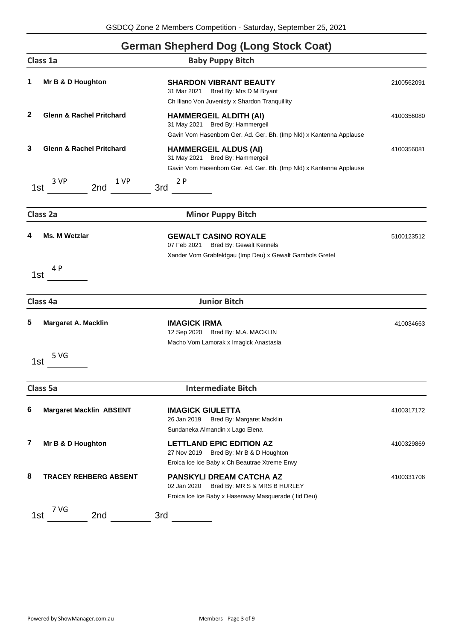### **German Shepherd Dog (Long Stock Coat)**

|              | Class 1a                            | <b>Baby Puppy Bitch</b>                                                                                                                 |            |
|--------------|-------------------------------------|-----------------------------------------------------------------------------------------------------------------------------------------|------------|
| 1            | Mr B & D Houghton                   | <b>SHARDON VIBRANT BEAUTY</b><br>31 Mar 2021<br>Bred By: Mrs D M Bryant<br>Ch Iliano Von Juvenisty x Shardon Tranquillity               | 2100562091 |
| $\mathbf{2}$ | <b>Glenn &amp; Rachel Pritchard</b> | <b>HAMMERGEIL ALDITH (AI)</b><br>31 May 2021 Bred By: Hammergeil<br>Gavin Vom Hasenborn Ger. Ad. Ger. Bh. (Imp Nld) x Kantenna Applause | 4100356080 |
| 3            | <b>Glenn &amp; Rachel Pritchard</b> | <b>HAMMERGEIL ALDUS (AI)</b><br>31 May 2021 Bred By: Hammergeil<br>Gavin Vom Hasenborn Ger. Ad. Ger. Bh. (Imp Nld) x Kantenna Applause  | 4100356081 |
|              | 3 VP<br>1 VP<br>2nd<br>1st          | 2P<br>3rd                                                                                                                               |            |
|              | Class 2a                            | <b>Minor Puppy Bitch</b>                                                                                                                |            |
| 4            | Ms. M Wetzlar                       | <b>GEWALT CASINO ROYALE</b><br>07 Feb 2021 Bred By: Gewalt Kennels<br>Xander Vom Grabfeldgau (Imp Deu) x Gewalt Gambols Gretel          | 5100123512 |
|              | 4 P<br>1st                          |                                                                                                                                         |            |
|              | Class 4a                            | <b>Junior Bitch</b>                                                                                                                     |            |
| 5            | <b>Margaret A. Macklin</b>          | <b>IMAGICK IRMA</b><br>12 Sep 2020 Bred By: M.A. MACKLIN<br>Macho Vom Lamorak x Imagick Anastasia                                       | 410034663  |
|              | 5 VG<br>1st                         |                                                                                                                                         |            |
|              | Class 5a                            | <b>Intermediate Bitch</b>                                                                                                               |            |
| 6            | <b>Margaret Macklin ABSENT</b>      | <b>IMAGICK GIULETTA</b><br>26 Jan 2019<br>Bred By: Margaret Macklin<br>Sundaneka Almandin x Lago Elena                                  | 4100317172 |
| 7            | Mr B & D Houghton                   | <b>LETTLAND EPIC EDITION AZ</b><br>27 Nov 2019<br>Bred By: Mr B & D Houghton<br>Eroica Ice Ice Baby x Ch Beautrae Xtreme Envy           | 4100329869 |
| 8            | <b>TRACEY REHBERG ABSENT</b>        | <b>PANSKYLI DREAM CATCHA AZ</b><br>02 Jan 2020<br>Bred By: MR S & MRS B HURLEY<br>Eroica Ice Ice Baby x Hasenway Masquerade (Iid Deu)   | 4100331706 |
|              | 7 VG<br>2nd<br>1st                  | 3rd                                                                                                                                     |            |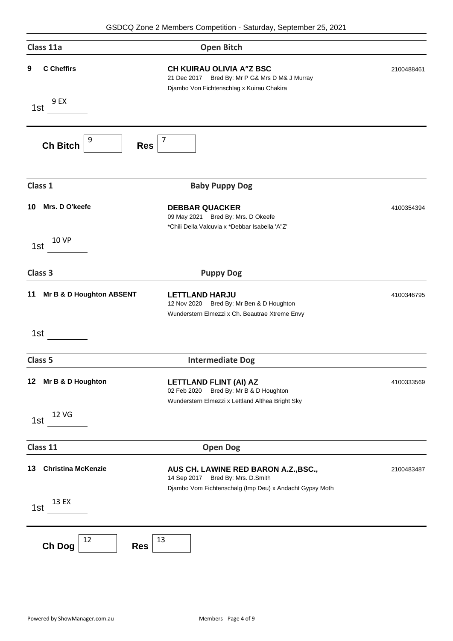| Class 11a |                            | <b>Open Bitch</b>                                                                                                                    |            |
|-----------|----------------------------|--------------------------------------------------------------------------------------------------------------------------------------|------------|
| 9         | <b>C</b> Cheffirs          | <b>CH KUIRAU OLIVIA A"Z BSC</b><br>21 Dec 2017<br>Bred By: Mr P G& Mrs D M& J Murray<br>Djambo Von Fichtenschlag x Kuirau Chakira    | 2100488461 |
|           | 9 EX<br>1st                |                                                                                                                                      |            |
|           | 9<br><b>Ch Bitch</b>       | $\overline{7}$<br><b>Res</b>                                                                                                         |            |
|           | Class 1                    | <b>Baby Puppy Dog</b>                                                                                                                |            |
| 10        | Mrs. D O'keefe             | <b>DEBBAR QUACKER</b><br>09 May 2021 Bred By: Mrs. D Okeefe<br>*Chili Della Valcuvia x *Debbar Isabella 'A"Z'                        | 4100354394 |
|           | <b>10 VP</b><br>1st        |                                                                                                                                      |            |
|           | Class 3                    | <b>Puppy Dog</b>                                                                                                                     |            |
| 11        | Mr B & D Houghton ABSENT   | <b>LETTLAND HARJU</b><br>Bred By: Mr Ben & D Houghton<br>12 Nov 2020<br>Wunderstern Elmezzi x Ch. Beautrae Xtreme Envy               | 4100346795 |
|           | 1st                        |                                                                                                                                      |            |
|           | Class <sub>5</sub>         | <b>Intermediate Dog</b>                                                                                                              |            |
| 12        | Mr B & D Houghton          | <b>LETTLAND FLINT (AI) AZ</b><br>Bred By: Mr B & D Houghton<br>02 Feb 2020<br>Wunderstern Elmezzi x Lettland Althea Bright Sky       | 4100333569 |
|           | 12 VG<br>1st               |                                                                                                                                      |            |
|           | Class 11                   | <b>Open Dog</b>                                                                                                                      |            |
| 13        | <b>Christina McKenzie</b>  | AUS CH. LAWINE RED BARON A.Z., BSC.,<br>14 Sep 2017 Bred By: Mrs. D.Smith<br>Djambo Vom Fichtenschalg (Imp Deu) x Andacht Gypsy Moth | 2100483487 |
|           | 13 EX<br>1st               |                                                                                                                                      |            |
|           | 12<br>Ch Dog<br><b>Res</b> | 13                                                                                                                                   |            |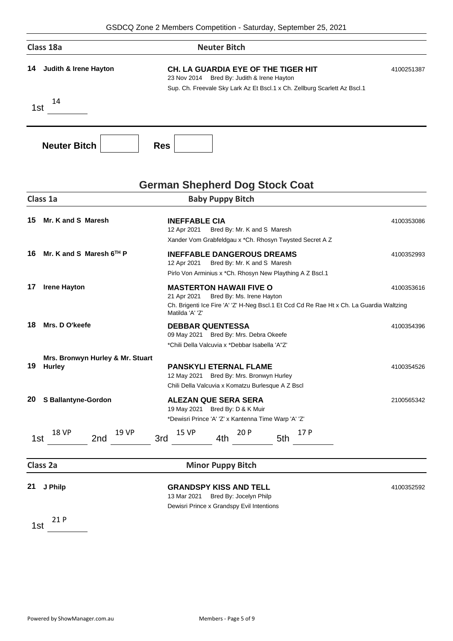| Class 18a                              | <b>Neuter Bitch</b>                                                                                                                                                      |            |
|----------------------------------------|--------------------------------------------------------------------------------------------------------------------------------------------------------------------------|------------|
| <b>Judith &amp; Irene Hayton</b><br>14 | <b>CH. LA GUARDIA EYE OF THE TIGER HIT</b><br>Bred By: Judith & Irene Hayton<br>23 Nov 2014<br>Sup. Ch. Freevale Sky Lark Az Et Bscl.1 x Ch. Zellburg Scarlett Az Bscl.1 | 4100251387 |
| 14<br>1st                              |                                                                                                                                                                          |            |
| <b>Neuter Bitch</b>                    | <b>Res</b>                                                                                                                                                               |            |

### **German Shepherd Dog Stock Coat**

|    | Class 1a                                          | <b>Baby Puppy Bitch</b>                                                                                                                                                                   |            |
|----|---------------------------------------------------|-------------------------------------------------------------------------------------------------------------------------------------------------------------------------------------------|------------|
| 15 | Mr. K and S Maresh                                | <b>INEFFABLE CIA</b><br>Bred By: Mr. K and S Maresh<br>12 Apr 2021<br>Xander Vom Grabfeldgau x *Ch. Rhosyn Twysted Secret A Z                                                             | 4100353086 |
| 16 | Mr. K and S Maresh $6TH$ P                        | <b>INEFFABLE DANGEROUS DREAMS</b><br>12 Apr 2021<br>Bred By: Mr. K and S Maresh<br>Pirlo Von Arminius x *Ch. Rhosyn New Plaything A Z Bscl.1                                              | 4100352993 |
| 17 | <b>Irene Hayton</b>                               | <b>MASTERTON HAWAII FIVE O</b><br>21 Apr 2021<br>Bred By: Ms. Irene Hayton<br>Ch. Brigenti Ice Fire 'A' 'Z' H-Neg Bscl.1 Et Ccd Cd Re Rae Ht x Ch. La Guardia Waltzing<br>Matilda 'A' 'Z' | 4100353616 |
| 18 | Mrs. D O'keefe                                    | <b>DEBBAR QUENTESSA</b><br>09 May 2021 Bred By: Mrs. Debra Okeefe<br>*Chili Della Valcuvia x *Debbar Isabella 'A"Z'                                                                       | 4100354396 |
| 19 | Mrs. Bronwyn Hurley & Mr. Stuart<br><b>Hurley</b> | <b>PANSKYLI ETERNAL FLAME</b><br>12 May 2021 Bred By: Mrs. Bronwyn Hurley<br>Chili Della Valcuvia x Komatzu Burlesque A Z Bscl                                                            | 4100354526 |
| 20 | <b>S Ballantyne-Gordon</b>                        | <b>ALEZAN QUE SERA SERA</b><br>19 May 2021 Bred By: D & K Muir<br>*Dewisri Prince 'A' 'Z' x Kantenna Time Warp 'A' 'Z'                                                                    | 2100565342 |
|    | <b>18 VP</b><br><b>19 VP</b><br>3rd<br>2nd<br>1st | 17 P<br><b>15 VP</b><br>20 P<br>5th<br>4th                                                                                                                                                |            |
|    | Class 2a                                          | <b>Minor Puppy Bitch</b>                                                                                                                                                                  |            |
| 21 | J Philp                                           | <b>GRANDSPY KISS AND TELL</b><br>13 Mar 2021 Bred By: Jocelyn Philp<br>Dewisri Prince x Grandspy Evil Intentions                                                                          | 4100352592 |
|    | 21 P<br>1st                                       |                                                                                                                                                                                           |            |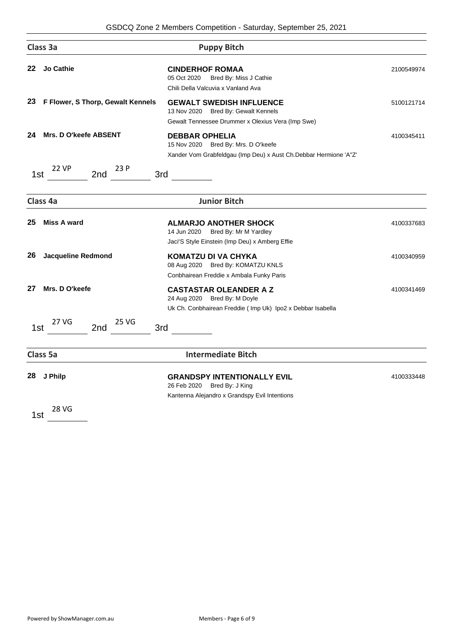|     | Class 3a                               | <b>Puppy Bitch</b>                                                                                                                  |            |
|-----|----------------------------------------|-------------------------------------------------------------------------------------------------------------------------------------|------------|
| 22  | <b>Jo Cathie</b>                       | <b>CINDERHOF ROMAA</b><br>Bred By: Miss J Cathie<br>05 Oct 2020<br>Chili Della Valcuvia x Vanland Ava                               | 2100549974 |
| 23  | F Flower, S Thorp, Gewalt Kennels      | <b>GEWALT SWEDISH INFLUENCE</b><br>13 Nov 2020 Bred By: Gewalt Kennels<br>Gewalt Tennessee Drummer x Olexius Vera (Imp Swe)         | 5100121714 |
| 24  | Mrs. D O'keefe ABSENT<br>23 P<br>22 VP | <b>DEBBAR OPHELIA</b><br>Bred By: Mrs. D O'keefe<br>15 Nov 2020<br>Xander Vom Grabfeldgau (Imp Deu) x Aust Ch.Debbar Hermione 'A"Z' | 4100345411 |
| 1st | 2nd<br>3rd                             |                                                                                                                                     |            |
|     | Class 4a                               | <b>Junior Bitch</b>                                                                                                                 |            |
| 25  | <b>Miss A ward</b>                     | <b>ALMARJO ANOTHER SHOCK</b><br>14 Jun 2020<br>Bred By: Mr M Yardley<br>Jaci'S Style Einstein (Imp Deu) x Amberg Effie              | 4100337683 |
| 26  | <b>Jacqueline Redmond</b>              | <b>KOMATZU DI VA CHYKA</b><br>Bred By: KOMATZU KNLS<br>08 Aug 2020<br>Conbhairean Freddie x Ambala Funky Paris                      | 4100340959 |
| 27  | Mrs. D O'keefe                         | <b>CASTASTAR OLEANDER A Z</b><br>24 Aug 2020 Bred By: M Doyle<br>Uk Ch. Conbhairean Freddie (Imp Uk) Ipo2 x Debbar Isabella         | 4100341469 |
| 1st | 25 VG<br>27 VG<br>2nd<br>3rd           |                                                                                                                                     |            |
|     | <b>Class 5a</b>                        | <b>Intermediate Bitch</b>                                                                                                           |            |
| 28  | J Philp                                | <b>GRANDSPY INTENTIONALLY EVIL</b><br>26 Feb 2020<br>Bred By: J King<br>Kantenna Alejandro x Grandspy Evil Intentions               | 4100333448 |
| 1st | <b>28 VG</b>                           |                                                                                                                                     |            |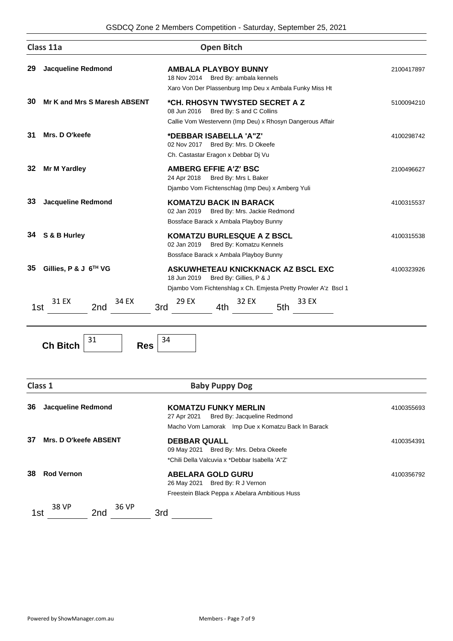|     | Class 11a                         | <b>Open Bitch</b>                                                                                                                               |            |
|-----|-----------------------------------|-------------------------------------------------------------------------------------------------------------------------------------------------|------------|
| 29  | <b>Jacqueline Redmond</b>         | <b>AMBALA PLAYBOY BUNNY</b><br>18 Nov 2014<br>Bred By: ambala kennels<br>Xaro Von Der Plassenburg Imp Deu x Ambala Funky Miss Ht                | 2100417897 |
| 30  | Mr K and Mrs S Maresh ABSENT      | *CH. RHOSYN TWYSTED SECRET A Z<br>08 Jun 2016<br>Bred By: S and C Collins<br>Callie Vom Westervenn (Imp Deu) x Rhosyn Dangerous Affair          | 5100094210 |
| 31  | Mrs. D O'keefe                    | *DEBBAR ISABELLA 'A"Z'<br>Bred By: Mrs. D Okeefe<br>02 Nov 2017<br>Ch. Castastar Eragon x Debbar Dj Vu                                          | 4100298742 |
| 32  | <b>Mr M Yardley</b>               | <b>AMBERG EFFIE A'Z' BSC</b><br>24 Apr 2018<br>Bred By: Mrs L Baker<br>Djambo Vom Fichtenschlag (Imp Deu) x Amberg Yuli                         | 2100496627 |
| 33  | <b>Jacqueline Redmond</b>         | <b>KOMATZU BACK IN BARACK</b><br>02 Jan 2019<br>Bred By: Mrs. Jackie Redmond<br>Bossface Barack x Ambala Playboy Bunny                          | 4100315537 |
| 34  | S & B Hurley                      | <b>KOMATZU BURLESQUE A Z BSCL</b><br>02 Jan 2019<br>Bred By: Komatzu Kennels<br>Bossface Barack x Ambala Playboy Bunny                          | 4100315538 |
| 35  | Gillies, P & J 6 <sup>TH</sup> VG | ASKUWHETEAU KNICKKNACK AZ BSCL EXC<br>18 Jun 2019<br>Bred By: Gillies, P & J<br>Djambo Vom Fichtenshlag x Ch. Emjesta Pretty Prowler A'z Bscl 1 | 4100323926 |
| 1st | 31 FX<br>34 EX<br>2nd             | 29 EX<br>33 EX<br>32 FX<br>3rd<br>5th<br>4th                                                                                                    |            |



|     | Class 1                   | <b>Baby Puppy Dog</b>                                                                                           |            |
|-----|---------------------------|-----------------------------------------------------------------------------------------------------------------|------------|
| 36  | <b>Jacqueline Redmond</b> | <b>KOMATZU FUNKY MERLIN</b><br>Bred By: Jacqueline Redmond<br>27 Apr 2021                                       | 4100355693 |
| 37  | Mrs. D O'keefe ABSENT     | Macho Vom Lamorak Imp Due x Komatzu Back In Barack                                                              |            |
|     |                           | <b>DEBBAR QUALL</b><br>09 May 2021 Bred By: Mrs. Debra Okeefe<br>*Chili Della Valcuvia x *Debbar Isabella 'A"Z' | 4100354391 |
| 38  | <b>Rod Vernon</b>         | <b>ABELARA GOLD GURU</b><br>26 May 2021 Bred By: R J Vernon                                                     | 4100356792 |
| 1st | 38 VP<br>36 VP<br>2nd     | Freestein Black Peppa x Abelara Ambitious Huss<br>3rd                                                           |            |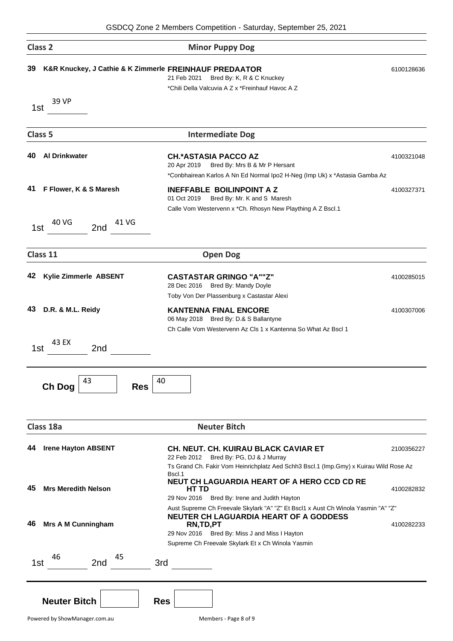| Class <sub>2</sub>                                           | <b>Minor Puppy Dog</b>                                                                                                                                                                                         |            |
|--------------------------------------------------------------|----------------------------------------------------------------------------------------------------------------------------------------------------------------------------------------------------------------|------------|
| 39<br>K&R Knuckey, J Cathie & K Zimmerle FREINHAUF PREDAATOR | Bred By: K, R & C Knuckey<br>21 Feb 2021<br>*Chili Della Valcuvia A Z x *Freinhauf Havoc A Z                                                                                                                   | 6100128636 |
| 39 VP<br>1st                                                 |                                                                                                                                                                                                                |            |
| Class <sub>5</sub>                                           | <b>Intermediate Dog</b>                                                                                                                                                                                        |            |
| 40<br><b>Al Drinkwater</b>                                   | <b>CH.*ASTASIA PACCO AZ</b><br>20 Apr 2019<br>Bred By: Mrs B & Mr P Hersant<br>*Conbhairean Karlos A Nn Ed Normal Ipo2 H-Neg (Imp Uk) x *Astasia Gamba Az                                                      | 4100321048 |
| F Flower, K & S Maresh<br>41                                 | <b>INEFFABLE BOILINPOINT A Z</b><br>Bred By: Mr. K and S Maresh<br>01 Oct 2019<br>Calle Vom Westervenn x *Ch. Rhosyn New Plaything A Z Bscl.1                                                                  | 4100327371 |
| 40 VG<br>41 VG<br>2nd<br>1st                                 |                                                                                                                                                                                                                |            |
| Class 11                                                     | <b>Open Dog</b>                                                                                                                                                                                                |            |
| Kylie Zimmerle ABSENT<br>42                                  | <b>CASTASTAR GRINGO "A""Z"</b><br>28 Dec 2016 Bred By: Mandy Doyle<br>Toby Von Der Plassenburg x Castastar Alexi                                                                                               | 4100285015 |
| 43<br>D.R. & M.L. Reidy                                      | <b>KANTENNA FINAL ENCORE</b><br>06 May 2018 Bred By: D.& S Ballantyne<br>Ch Calle Vom Westervenn Az Cls 1 x Kantenna So What Az Bscl 1                                                                         | 4100307006 |
| 43 EX<br>2nd<br>1st                                          |                                                                                                                                                                                                                |            |
| 43<br>Ch Dog<br><b>Res</b>                                   | 40                                                                                                                                                                                                             |            |
| Class 18a                                                    | <b>Neuter Bitch</b>                                                                                                                                                                                            |            |
| <b>Irene Hayton ABSENT</b><br>44                             | <b>CH. NEUT. CH. KUIRAU BLACK CAVIAR ET</b><br>22 Feb 2012 Bred By: PG, DJ & J Murray                                                                                                                          | 2100356227 |
| 45<br><b>Mrs Meredith Nelson</b>                             | Ts Grand Ch. Fakir Vom Heinrichplatz Aed Schh3 Bscl.1 (Imp.Gmy) x Kuirau Wild Rose Az<br>Bscl.1<br>NEUT CH LAGUARDIA HEART OF A HERO CCD CD RE<br><b>HT TD</b><br>29 Nov 2016 Bred By: Irene and Judith Hayton | 4100282832 |
| <b>Mrs A M Cunningham</b><br>46                              | Aust Supreme Ch Freevale Skylark "A" "Z" Et Bscl1 x Aust Ch Winola Yasmin "A" "Z"<br><b>NEUTER CH LAGUARDIA HEART OF A GODDESS</b><br>RN,TD,PT<br>29 Nov 2016 Bred By: Miss J and Miss I Hayton                | 4100282233 |
| 46<br>45<br>2 <sub>nd</sub><br>1st                           | Supreme Ch Freevale Skylark Et x Ch Winola Yasmin<br>3rd                                                                                                                                                       |            |
| <b>Neuter Bitch</b>                                          | <b>Res</b>                                                                                                                                                                                                     |            |